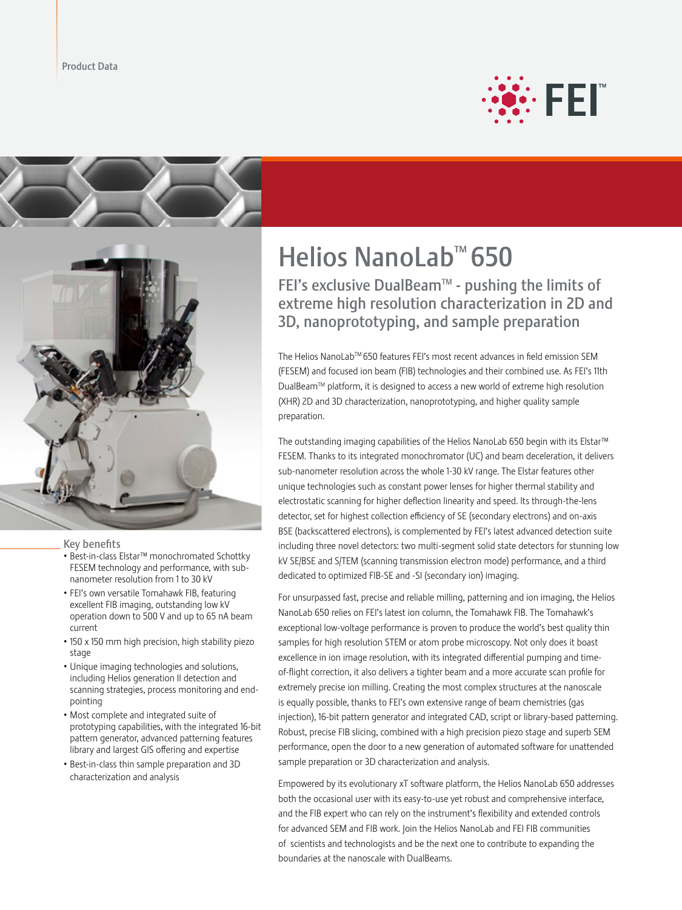





#### Key benefits

- • Best-in-class Elstar™ monochromated Schottky FESEM technology and performance, with subnanometer resolution from 1 to 30 kV
- FEI's own versatile Tomahawk FIB, featuring excellent FIB imaging, outstanding low kV operation down to 500 V and up to 65 nA beam current
- 150 x 150 mm high precision, high stability piezo stage
- Unique imaging technologies and solutions, including Helios generation II detection and scanning strategies, process monitoring and endpointing
- • Most complete and integrated suite of prototyping capabilities, with the integrated 16-bit pattern generator, advanced patterning features library and largest GIS offering and expertise
- • Best-in-class thin sample preparation and 3D characterization and analysis

# Helios NanoLab™ 650

FEI's exclusive DualBeam™ - pushing the limits of extreme high resolution characterization in 2D and 3D, nanoprototyping, and sample preparation

The Helios NanoLabTM 650 features FEI's most recent advances in field emission SEM (FESEM) and focused ion beam (FIB) technologies and their combined use. As FEI's 11th DualBeamTM platform, it is designed to access a new world of extreme high resolution (XHR) 2D and 3D characterization, nanoprototyping, and higher quality sample preparation.

The outstanding imaging capabilities of the Helios NanoLab 650 begin with its Elstar™ FESEM. Thanks to its integrated monochromator (UC) and beam deceleration, it delivers sub-nanometer resolution across the whole 1-30 kV range. The Elstar features other unique technologies such as constant power lenses for higher thermal stability and electrostatic scanning for higher deflection linearity and speed. Its through-the-lens detector, set for highest collection efficiency of SE (secondary electrons) and on-axis BSE (backscattered electrons), is complemented by FEI's latest advanced detection suite including three novel detectors: two multi-segment solid state detectors for stunning low kV SE/BSE and S/TEM (scanning transmission electron mode) performance, and a third dedicated to optimized FIB-SE and -SI (secondary ion) imaging.

For unsurpassed fast, precise and reliable milling, patterning and ion imaging, the Helios NanoLab 650 relies on FEI's latest ion column, the Tomahawk FIB. The Tomahawk's exceptional low-voltage performance is proven to produce the world's best quality thin samples for high resolution STEM or atom probe microscopy. Not only does it boast excellence in ion image resolution, with its integrated differential pumping and timeof-flight correction, it also delivers a tighter beam and a more accurate scan profile for extremely precise ion milling. Creating the most complex structures at the nanoscale is equally possible, thanks to FEI's own extensive range of beam chemistries (gas injection), 16-bit pattern generator and integrated CAD, script or library-based patterning. Robust, precise FIB slicing, combined with a high precision piezo stage and superb SEM performance, open the door to a new generation of automated software for unattended sample preparation or 3D characterization and analysis.

Empowered by its evolutionary xT software platform, the Helios NanoLab 650 addresses both the occasional user with its easy-to-use yet robust and comprehensive interface, and the FIB expert who can rely on the instrument's flexibility and extended controls for advanced SEM and FIB work. Join the Helios NanoLab and FEI FIB communities of scientists and technologists and be the next one to contribute to expanding the boundaries at the nanoscale with DualBeams.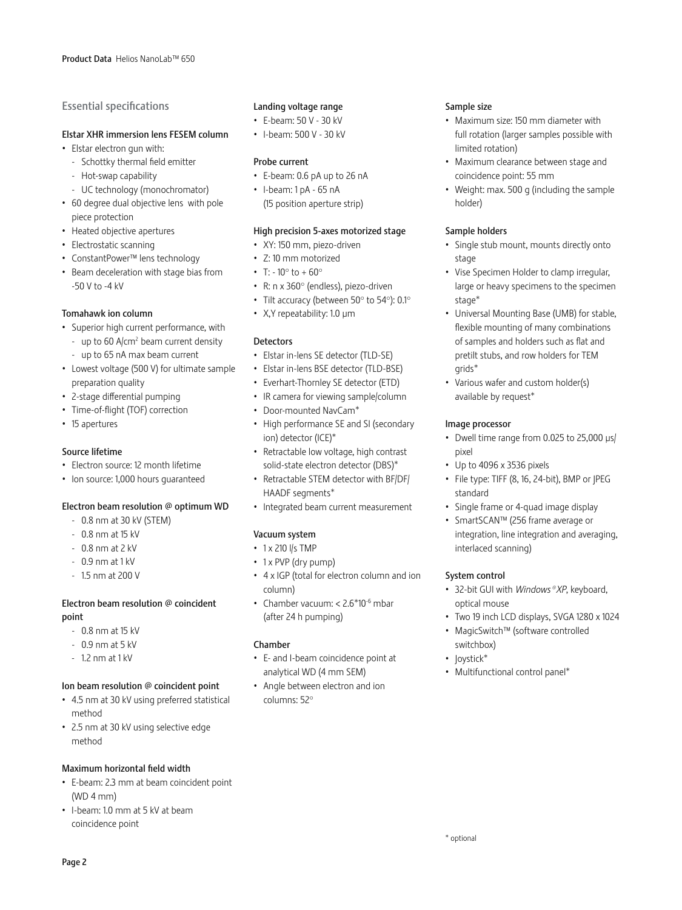## Essential specifications

## Elstar XHR immersion lens FESEM column

- • Elstar electron gun with:
	- Schottky thermal field emitter
	- Hot-swap capability
	- UC technology (monochromator)
- • 60 degree dual objective lens with pole piece protection
- Heated objective apertures
- • Electrostatic scanning
- • ConstantPower™ lens technology
- • Beam deceleration with stage bias from -50 V to -4 kV

### Tomahawk ion column

- • Superior high current performance, with
	- up to 60  $A/cm<sup>2</sup>$  beam current density
	- up to 65 nA max beam current
- • Lowest voltage (500 V) for ultimate sample preparation quality
- • 2-stage differential pumping
- • Time-of-flight (TOF) correction
- • 15 apertures

#### Source lifetime

- • Electron source: 12 month lifetime
- • Ion source: 1,000 hours guaranteed

### Electron beam resolution @ optimum WD

- 0.8 nm at 30 kV (STEM)
- 0.8 nm at 15 kV
- 0.8 nm at 2 kV
- 0.9 nm at 1 kV
- 1.5 nm at 200 V

## Electron beam resolution @ coincident point

- 0.8 nm at 15 kV
- 0.9 nm at 5 kV
- 1.2 nm at 1 kV

### Ion beam resolution @ coincident point

- • 4.5 nm at 30 kV using preferred statistical method
- • 2.5 nm at 30 kV using selective edge method

### Maximum horizontal field width

- • E-beam: 2.3 mm at beam coincident point (WD 4 mm)
- • I-beam: 1.0 mm at 5 kV at beam coincidence point

## Landing voltage range

- • E-beam: 50 V 30 kV
- • I-beam: 500 V 30 kV

#### Probe current

- • E-beam: 0.6 pA up to 26 nA
- $\cdot$  I-beam: 1 pA 65 nA (15 position aperture strip)

#### High precision 5-axes motorized stage

- • XY: 150 mm, piezo-driven
- • Z: 10 mm motorized
- T:  $-10^{\circ}$  to  $+60^{\circ}$
- • R: n x 360° (endless), piezo-driven
- Tilt accuracy (between 50 $^{\circ}$  to 54 $^{\circ}$ ): 0.1 $^{\circ}$
- • X,Y repeatability: 1.0 µm

#### **Detectors**

- • Elstar in-lens SE detector (TLD-SE)
- • Elstar in-lens BSE detector (TLD-BSE)
- • Everhart-Thornley SE detector (ETD)
- IR camera for viewing sample/column
- • Door-mounted NavCam\*
- High performance SE and SI (secondary ion) detector (ICE)\*
- • Retractable low voltage, high contrast solid-state electron detector (DBS)\*
- • Retractable STEM detector with BF/DF/ HAADF segments\*
- • Integrated beam current measurement

## Vacuum system

## • 1 x 210 l/s TMP

- 1 x PVP (dry pump)
- 4 x IGP (total for electron column and ion column)
- Chamber vacuum:  $< 2.6*10^{-6}$  mbar (after 24 h pumping)

### Chamber

- • E- and I-beam coincidence point at analytical WD (4 mm SEM)
- • Angle between electron and ion columns: 52°

#### Sample size

- • Maximum size: 150 mm diameter with full rotation (larger samples possible with limited rotation)
- • Maximum clearance between stage and coincidence point: 55 mm
- • Weight: max. 500 g (including the sample holder)

### Sample holders

- • Single stub mount, mounts directly onto stage
- • Vise Specimen Holder to clamp irregular, large or heavy specimens to the specimen stage\*
- Universal Mounting Base (UMB) for stable, flexible mounting of many combinations of samples and holders such as flat and pretilt stubs, and row holders for TEM grids\*
- Various wafer and custom holder(s) available by request\*

### Image processor

- Dwell time range from 0.025 to 25,000 µs/ pixel
- • Up to 4096 x 3536 pixels
- File type: TIFF (8, 16, 24-bit), BMP or JPEG standard
- • Single frame or 4-quad image display
- • SmartSCAN™ (256 frame average or integration, line integration and averaging, interlaced scanning)

### System control

- • 32-bit GUI with *Windows®XP*, keyboard, optical mouse
- Two 19 inch LCD displays, SVGA 1280 x 1024
- MagicSwitch™ (software controlled switchbox)
- loystick\*
- Multifunctional control panel\*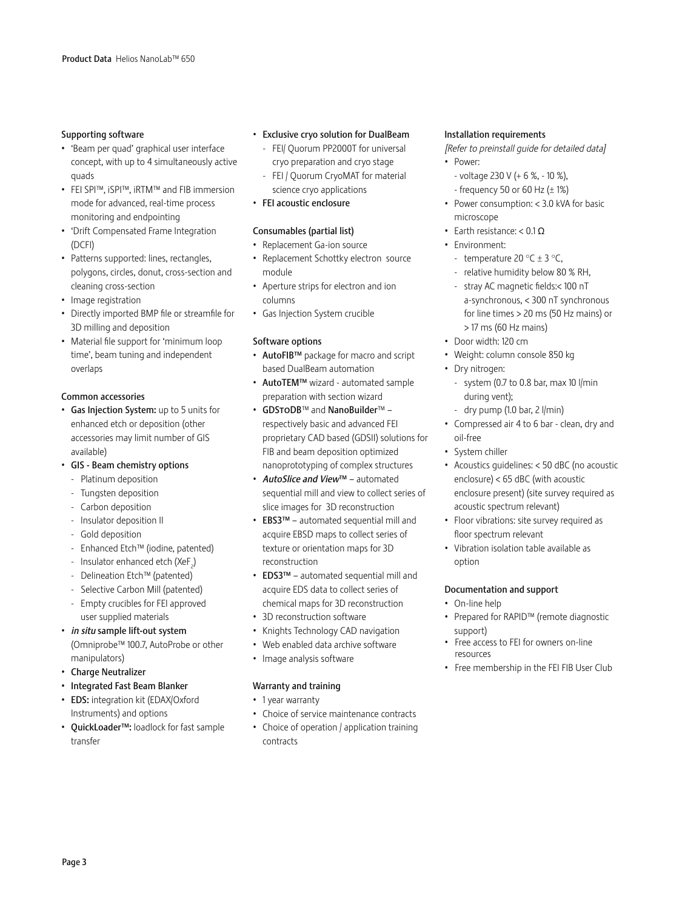### Supporting software

- • 'Beam per quad' graphical user interface concept, with up to 4 simultaneously active quads
- • FEI SPI™, iSPI™, iRTM™ and FIB immersion mode for advanced, real-time process monitoring and endpointing
- • 'Drift Compensated Frame Integration (DCFI)
- Patterns supported: lines, rectangles, polygons, circles, donut, cross-section and cleaning cross-section
- Image registration
- • Directly imported BMP file or streamfile for 3D milling and deposition
- Material file support for 'minimum loop time', beam tuning and independent overlaps

### Common accessories

- • Gas Injection System: up to 5 units for enhanced etch or deposition (other accessories may limit number of GIS available)
- • GIS Beam chemistry options
	- Platinum deposition
	- Tungsten deposition
	- Carbon deposition
	- Insulator deposition II
	- Gold deposition
	- Enhanced Etch™ (iodine, patented)
	- $\,$  Insulator enhanced etch (XeF $_{_2}$ )
	- Delineation Etch™ (patented)
	- Selective Carbon Mill (patented)
- Empty crucibles for FEI approved user supplied materials
- • *in situ* sample lift-out system (Omniprobe™ 100.7, AutoProbe or other manipulators)
- • Charge Neutralizer
- • Integrated Fast Beam Blanker
- EDS: integration kit (EDAX/Oxford Instruments) and options
- QuickLoader™: loadlock for fast sample transfer

## • Exclusive cryo solution for DualBeam

- FEI/ Quorum PP2000T for universal cryo preparation and cryo stage
- FEI / Quorum CryoMAT for material science cryo applications
- • FEI acoustic enclosure

## Consumables (partial list)

- • Replacement Ga-ion source
- • Replacement Schottky electron source module
- • Aperture strips for electron and ion columns
- • Gas Injection System crucible

## Software options

- • AutoFIB™ package for macro and script based DualBeam automation
- • AutoTEM™ wizard automated sample preparation with section wizard
- GDSTODB™ and NanoBuilder™ respectively basic and advanced FEI proprietary CAD based (GDSII) solutions for FIB and beam deposition optimized nanoprototyping of complex structures
- • *AutoSlice and View*™ automated sequential mill and view to collect series of slice images for 3D reconstruction
- • EBS3™ automated sequential mill and acquire EBSD maps to collect series of texture or orientation maps for 3D reconstruction
- • EDS3™ automated sequential mill and acquire EDS data to collect series of chemical maps for 3D reconstruction
- 3D reconstruction software
- Knights Technology CAD navigation
- • Web enabled data archive software
- • Image analysis software

## Warranty and training

- 1 year warranty
- • Choice of service maintenance contracts
- Choice of operation  $/$  application training contracts

#### Installation requirements

- *[Refer to preinstall guide for detailed data]*
- • Power:
	- voltage 230 V (+ 6 %, 10 %), - frequency 50 or 60 Hz  $(\pm 1\%)$
- • Power consumption: < 3.0 kVA for basic microscope
- Earth resistance: < 0.1  $\Omega$
- • Environment:
	- temperature 20  $\degree$ C  $\pm$  3  $\degree$ C.
	- relative humidity below 80 % RH,
	- stray AC magnetic fields:< 100 nT a-synchronous, < 300 nT synchronous for line times > 20 ms (50 Hz mains) or > 17 ms (60 Hz mains)
- • Door width: 120 cm
- • Weight: column console 850 kg
- Dry nitrogen:
- system (0.7 to 0.8 bar, max 10  $\frac{1}{\text{min}}$ during vent);
- dry pump (1.0 bar, 2 l/min)
- • Compressed air 4 to 6 bar clean, dry and oil-free
- System chiller
- • Acoustics guidelines: < 50 dBC (no acoustic enclosure) < 65 dBC (with acoustic enclosure present) (site survey required as acoustic spectrum relevant)
- Floor vibrations: site survey required as floor spectrum relevant
- • Vibration isolation table available as option

### Documentation and support

- On-line help
- • Prepared for RAPID™ (remote diagnostic support)
- • Free access to FEI for owners on-line resources
- • Free membership in the FEI FIB User Club